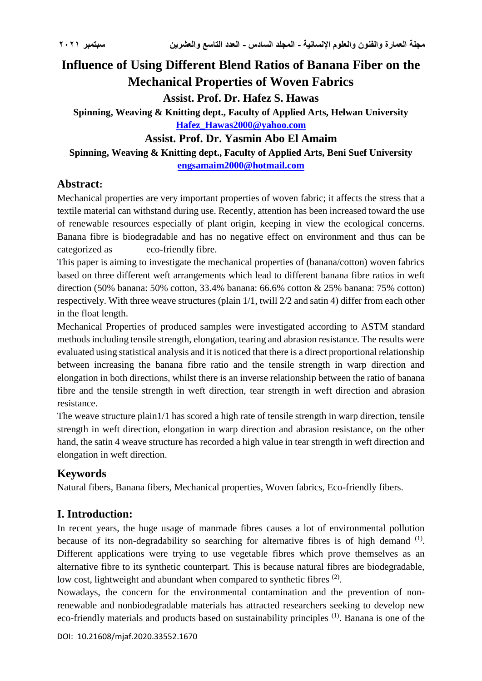# **Influence of Using Different Blend Ratios of Banana Fiber on the Mechanical Properties of Woven Fabrics**

**Assist. Prof. Dr. Hafez S. Hawas**

**Spinning, Weaving & Knitting dept., Faculty of Applied Arts, Helwan University [Hafez\\_Hawas2000@yahoo.com](mailto:Hafez_Hawas2000@yahoo.com)**

# **Assist. Prof. Dr. Yasmin Abo El Amaim**

**Spinning, Weaving & Knitting dept., Faculty of Applied Arts, Beni Suef University [engsamaim2000@hotmail.com](mailto:engsamaim2000@hotmail.com)**

# **Abstract:**

Mechanical properties are very important properties of woven fabric; it affects the stress that a textile material can withstand during use. Recently, attention has been increased toward the use of renewable resources especially of plant origin, keeping in view the ecological concerns. Banana fibre is biodegradable and has no negative effect on environment and thus can be categorized as eco-friendly fibre.

This paper is aiming to investigate the mechanical properties of (banana/cotton) woven fabrics based on three different weft arrangements which lead to different banana fibre ratios in weft direction (50% banana: 50% cotton, 33.4% banana: 66.6% cotton & 25% banana: 75% cotton) respectively. With three weave structures (plain 1/1, twill 2/2 and satin 4) differ from each other in the float length.

Mechanical Properties of produced samples were investigated according to ASTM standard methods including tensile strength, elongation, tearing and abrasion resistance. The results were evaluated using statistical analysis and it is noticed that there is a direct proportional relationship between increasing the banana fibre ratio and the tensile strength in warp direction and elongation in both directions, whilst there is an inverse relationship between the ratio of banana fibre and the tensile strength in weft direction, tear strength in weft direction and abrasion resistance.

The weave structure plain1/1 has scored a high rate of tensile strength in warp direction, tensile strength in weft direction, elongation in warp direction and abrasion resistance, on the other hand, the satin 4 weave structure has recorded a high value in tear strength in weft direction and elongation in weft direction.

# **Keywords**

Natural fibers, Banana fibers, Mechanical properties, Woven fabrics, Eco-friendly fibers.

# **I. Introduction:**

In recent years, the huge usage of manmade fibres causes a lot of environmental pollution because of its non-degradability so searching for alternative fibres is of high demand  $<sup>(1)</sup>$ .</sup> Different applications were trying to use vegetable fibres which prove themselves as an alternative fibre to its synthetic counterpart. This is because natural fibres are biodegradable, low cost, lightweight and abundant when compared to synthetic fibres  $(2)$ .

Nowadays, the concern for the environmental contamination and the prevention of nonrenewable and nonbiodegradable materials has attracted researchers seeking to develop new eco-friendly materials and products based on sustainability principles <sup>(1)</sup>. Banana is one of the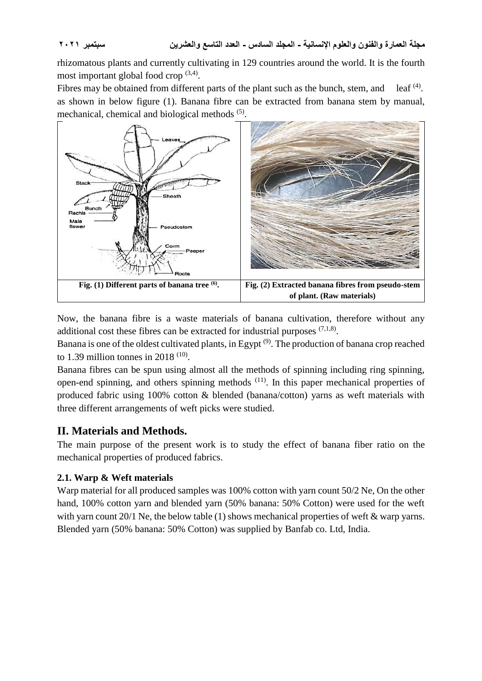rhizomatous plants and currently cultivating in 129 countries around the world. It is the fourth most important global food crop<sup>(3,4)</sup>.

Fibres may be obtained from different parts of the plant such as the bunch, stem, and leaf  $(4)$ . as shown in below figure (1). Banana fibre can be extracted from banana stem by manual, mechanical, chemical and biological methods <sup>(5)</sup>.



Now, the banana fibre is a waste materials of banana cultivation, therefore without any additional cost these fibres can be extracted for industrial purposes  $(7,1,8)$ .

Banana is one of the oldest cultivated plants, in Egypt (9). The production of banana crop reached to 1.39 million tonnes in 2018  $(10)$ .

Banana fibres can be spun using almost all the methods of spinning including ring spinning, open-end spinning, and others spinning methods  $(11)$ . In this paper mechanical properties of produced fabric using 100% cotton & blended (banana/cotton) yarns as weft materials with three different arrangements of weft picks were studied.

# **II. Materials and Methods.**

The main purpose of the present work is to study the effect of banana fiber ratio on the mechanical properties of produced fabrics.

### **2.1. Warp & Weft materials**

Warp material for all produced samples was 100% cotton with yarn count 50/2 Ne, On the other hand, 100% cotton yarn and blended yarn (50% banana: 50% Cotton) were used for the weft with yarn count 20/1 Ne, the below table (1) shows mechanical properties of weft & warp yarns. Blended yarn (50% banana: 50% Cotton) was supplied by Banfab co. Ltd, India.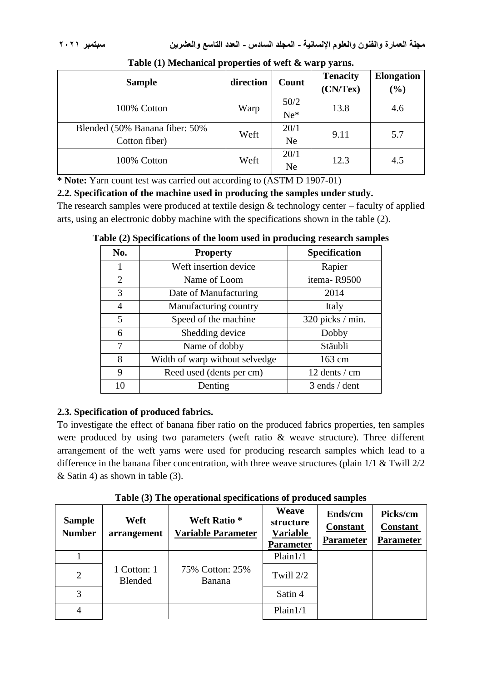| <b>Sample</b>                                   | direction | Count             | <b>Tenacity</b><br>(CN/Text) | <b>Elongation</b><br>$(\%)$ |
|-------------------------------------------------|-----------|-------------------|------------------------------|-----------------------------|
| 100% Cotton                                     | Warp      | 50/2<br>$Ne^*$    | 13.8                         | 4.6                         |
| Blended (50% Banana fiber: 50%<br>Cotton fiber) | Weft      | 20/1<br>Ne.       | 9.11                         | 5.7                         |
| 100% Cotton                                     | Weft      | 20/1<br><b>Ne</b> | 12.3                         | 4.5                         |

**Table (1) Mechanical properties of weft & warp yarns.**

**\* Note:** Yarn count test was carried out according to (ASTM D 1907-01)

**2.2. Specification of the machine used in producing the samples under study.**

The research samples were produced at textile design & technology center – faculty of applied arts, using an electronic dobby machine with the specifications shown in the table (2).

| No.            | <b>Property</b>                | <b>Specification</b> |
|----------------|--------------------------------|----------------------|
| 1              | Weft insertion device          | Rapier               |
| $\overline{2}$ | Name of Loom                   | itema-R9500          |
| 3              | Date of Manufacturing          | 2014                 |
| 4              | Manufacturing country          | Italy                |
| 5              | Speed of the machine           | 320 picks / min.     |
| 6              | Shedding device                | Dobby                |
| 7              | Name of dobby                  | Stäubli              |
| 8              | Width of warp without selvedge | 163 cm               |
| 9              | Reed used (dents per cm)       | 12 dents / cm        |
| 10             | Denting                        | 3 ends / dent        |

**Table (2) Specifications of the loom used in producing research samples** 

### **2.3. Specification of produced fabrics.**

To investigate the effect of banana fiber ratio on the produced fabrics properties, ten samples were produced by using two parameters (weft ratio & weave structure). Three different arrangement of the weft yarns were used for producing research samples which lead to a difference in the banana fiber concentration, with three weave structures (plain 1/1 & Twill 2/2 & Satin 4) as shown in table (3).

**Table (3) The operational specifications of produced samples**

| <b>Sample</b><br><b>Number</b> | Weft<br>arrangement    | <b>Weft Ratio*</b><br><b>Variable Parameter</b> | Weave<br>structure<br><b>Variable</b><br><b>Parameter</b> | Ends/cm<br><b>Constant</b><br><b>Parameter</b> | Picks/cm<br><b>Constant</b><br><b>Parameter</b> |
|--------------------------------|------------------------|-------------------------------------------------|-----------------------------------------------------------|------------------------------------------------|-------------------------------------------------|
|                                |                        |                                                 | Plain1/1                                                  |                                                |                                                 |
| $\overline{2}$                 | 1 Cotton: 1<br>Blended | 75% Cotton: 25%<br><b>Banana</b>                | Twill 2/2                                                 |                                                |                                                 |
| 3                              |                        |                                                 | Satin 4                                                   |                                                |                                                 |
| 4                              |                        |                                                 | Plain1/1                                                  |                                                |                                                 |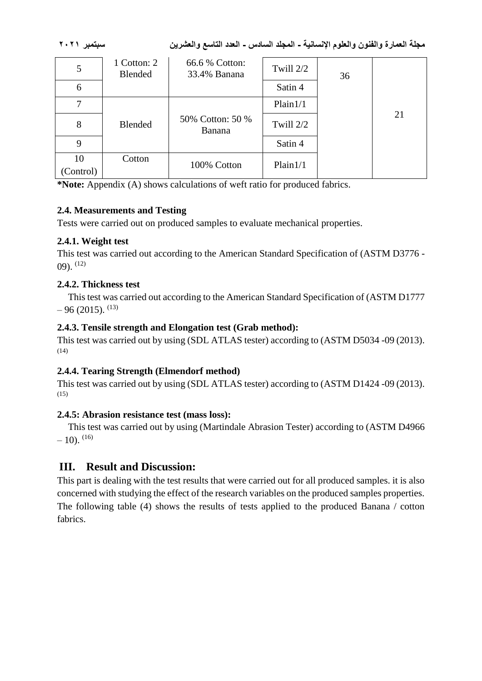**مجلة العمارة والفنون والعلوم اإلنسانية - المجلد السادس - العدد التاسع والعشرين سبتمبر 2021**

| 5               | 1 Cotton: 2<br>Blended | 66.6 % Cotton:<br>33.4% Banana    | Twill 2/2 | 36 |    |
|-----------------|------------------------|-----------------------------------|-----------|----|----|
| 6               |                        |                                   | Satin 4   |    |    |
| 7               |                        |                                   | Plain1/1  |    |    |
| 8               | <b>Blended</b>         | 50% Cotton: 50 %<br><b>Banana</b> | Twill 2/2 |    | 21 |
| 9               |                        |                                   | Satin 4   |    |    |
| 10<br>(Control) | Cotton                 | 100% Cotton                       | Plain1/1  |    |    |

**\*Note:** Appendix (A) shows calculations of weft ratio for produced fabrics.

### **2.4. Measurements and Testing**

Tests were carried out on produced samples to evaluate mechanical properties.

### **2.4.1. Weight test**

This test was carried out according to the American Standard Specification of (ASTM D3776 -  $(09)$ .  $(12)$ 

### **2.4.2. Thickness test**

This test was carried out according to the American Standard Specification of (ASTM D1777  $-96(2015)$ . <sup>(13)</sup>

### **2.4.3. Tensile strength and Elongation test (Grab method):**

This test was carried out by using (SDL ATLAS tester) according to (ASTM D5034 -09 (2013).  $(14)$ 

### **2.4.4. Tearing Strength (Elmendorf method)**

This test was carried out by using (SDL ATLAS tester) according to (ASTM D1424 -09 (2013).  $(15)$ 

### **2.4.5: Abrasion resistance test (mass loss):**

This test was carried out by using (Martindale Abrasion Tester) according to (ASTM D4966  $-10$ ). <sup>(16)</sup>

# **III. Result and Discussion:**

This part is dealing with the test results that were carried out for all produced samples. it is also concerned with studying the effect of the research variables on the produced samples properties. The following table (4) shows the results of tests applied to the produced Banana / cotton fabrics.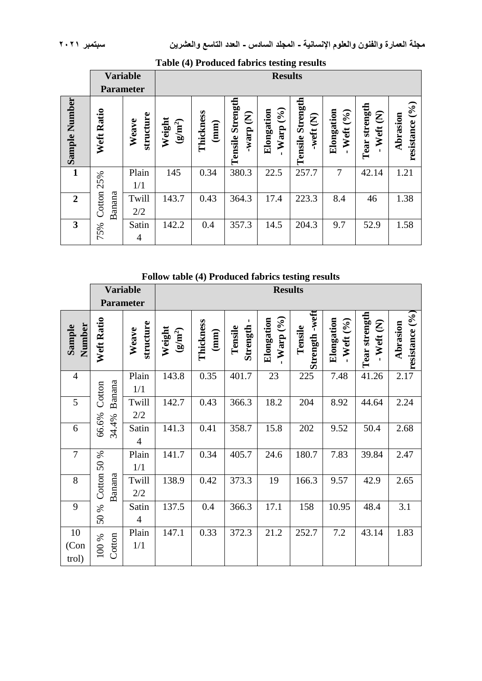|                | <b>Parameter</b> | <b>Variable</b>    | 17                  | <b>Results</b>    |                                                    |                                 |                              |                             |                                                                         |                                                 |
|----------------|------------------|--------------------|---------------------|-------------------|----------------------------------------------------|---------------------------------|------------------------------|-----------------------------|-------------------------------------------------------------------------|-------------------------------------------------|
|                |                  |                    |                     |                   |                                                    |                                 |                              |                             |                                                                         |                                                 |
| Sample Number  | Weft Ratio       | structure<br>Weave | Weight<br>$(g/m^2)$ | Thickness<br>(mm) | Tensile Strength<br>$\widehat{\mathbf{z}}$<br>warp | $($ % $)$<br>Elongation<br>Warp | Tensile Strength<br>weft (N) | Elongation<br>(9/6)<br>Weft | strength<br>$\widehat{\boldsymbol{\mathcal{E}}}$<br>Weft<br><b>Tear</b> | $\widetilde{(\cdot)}$<br>Abrasion<br>resistance |
| $\mathbf{1}$   | 25%              | Plain<br>1/1       | 145                 | 0.34              | 380.3                                              | 22.5                            | 257.7                        | $\overline{7}$              | 42.14                                                                   | 1.21                                            |
| $\overline{2}$ | Cotton<br>Banana | Twill<br>2/2       | 143.7               | 0.43              | 364.3                                              | 17.4                            | 223.3                        | 8.4                         | 46                                                                      | 1.38                                            |
| $\overline{3}$ | 75%              | Satin<br>4         | 142.2               | 0.4               | 357.3                                              | 14.5                            | 204.3                        | 9.7                         | 52.9                                                                    | 1.58                                            |

### **Table (4) Produced fabrics testing results**

**Follow table (4) Produced fabrics testing results**

|                     |                       | <b>Variable</b>         | <b>Results</b>          |                            |                     |                            |                              |                        |                             |                               |
|---------------------|-----------------------|-------------------------|-------------------------|----------------------------|---------------------|----------------------------|------------------------------|------------------------|-----------------------------|-------------------------------|
|                     |                       | <b>Parameter</b>        |                         |                            |                     |                            |                              |                        |                             |                               |
| Number<br>Sample    | <b>Weft Ratio</b>     | structure<br>Weave      | Weight<br>$(\rm g/m^2)$ | Thickness<br>$(\text{mm})$ | Strength<br>Tensile | Elongation<br>$-Warp(9/6)$ | -weft<br>Tensile<br>Strength | Elongation<br>Weft (%) | Tear strength<br>$-Weft(N)$ | resistance $(°0)$<br>Abrasion |
| $\overline{4}$      | Banana<br>Cotton      | Plain<br>1/1            | 143.8                   | 0.35                       | 401.7               | 23                         | 225                          | 7.48                   | 41.26                       | 2.17                          |
| 5                   |                       | Twill<br>2/2            | 142.7                   | 0.43                       | 366.3               | 18.2                       | 204                          | 8.92                   | 44.64                       | 2.24                          |
| 6                   | 66.6%<br>34.4%        | Satin<br>$\overline{4}$ | 141.3                   | 0.41                       | 358.7               | 15.8                       | 202                          | 9.52                   | 50.4                        | 2.68                          |
| $\overline{7}$      |                       | Plain<br>1/1            | 141.7                   | 0.34                       | 405.7               | 24.6                       | 180.7                        | 7.83                   | 39.84                       | 2.47                          |
| 8                   | Cotton 50 %<br>Banana | Twill<br>2/2            | 138.9                   | 0.42                       | 373.3               | 19                         | 166.3                        | 9.57                   | 42.9                        | 2.65                          |
| 9                   | 50 %                  | Satin<br>4              | 137.5                   | 0.4                        | 366.3               | 17.1                       | 158                          | 10.95                  | 48.4                        | 3.1                           |
| 10<br>(Con<br>trol) | Cotton<br>100 %       | Plain<br>1/1            | 147.1                   | 0.33                       | 372.3               | 21.2                       | 252.7                        | 7.2                    | 43.14                       | 1.83                          |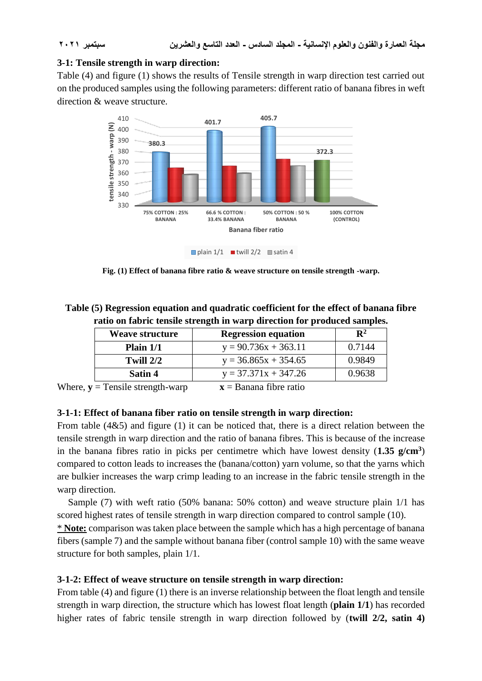### **3-1: Tensile strength in warp direction:**

Table (4) and figure (1) shows the results of Tensile strength in warp direction test carried out on the produced samples using the following parameters: different ratio of banana fibres in weft direction & weave structure.



**Fig. (1) Effect of banana fibre ratio & weave structure on tensile strength -warp.**

**Table (5) Regression equation and quadratic coefficient for the effect of banana fibre ratio on fabric tensile strength in warp direction for produced samples.**

| <b>Weave structure</b>      | <b>Regression equation</b> | $\mathbf{R}^2$ |
|-----------------------------|----------------------------|----------------|
| Plain $1/1$                 | $y = 90.736x + 363.11$     | 0.7144         |
| Twill $2/2$                 | $y = 36.865x + 354.65$     | 0.9849         |
| Satin 4                     | $y = 37.371x + 347.26$     | 0.9638         |
| . Tana'la atusu atle rriame | Danana Chus natio          |                |

Where,  $y =$  Tensile strength-warp  $x =$  Banana fibre ratio

# **3-1-1: Effect of banana fiber ratio on tensile strength in warp direction:**

From table (4&5) and figure (1) it can be noticed that, there is a direct relation between the tensile strength in warp direction and the ratio of banana fibres. This is because of the increase in the banana fibres ratio in picks per centimetre which have lowest density (**1.35 g/cm<sup>3</sup>** ) compared to cotton leads to increases the (banana/cotton) yarn volume, so that the yarns which are bulkier increases the warp crimp leading to an increase in the fabric tensile strength in the warp direction.

Sample (7) with weft ratio (50% banana: 50% cotton) and weave structure plain 1/1 has scored highest rates of tensile strength in warp direction compared to control sample (10).

\* **Note:** comparison was taken place between the sample which has a high percentage of banana fibers (sample 7) and the sample without banana fiber (control sample 10) with the same weave structure for both samples, plain 1/1.

### **3-1-2: Effect of weave structure on tensile strength in warp direction:**

From table (4) and figure (1) there is an inverse relationship between the float length and tensile strength in warp direction, the structure which has lowest float length (**plain 1/1**) has recorded higher rates of fabric tensile strength in warp direction followed by (**twill 2/2, satin 4)**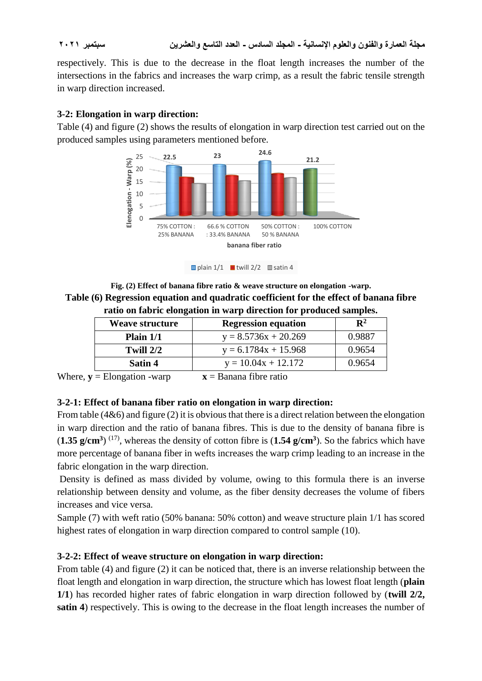**مجلة العمارة والفنون والعلوم اإلنسانية - المجلد السادس - العدد التاسع والعشرين سبتمبر 2021**

respectively. This is due to the decrease in the float length increases the number of the intersections in the fabrics and increases the warp crimp, as a result the fabric tensile strength in warp direction increased.

### **3-2: Elongation in warp direction:**

Table (4) and figure (2) shows the results of elongation in warp direction test carried out on the produced samples using parameters mentioned before.



plain  $1/1$  twill  $2/2$  satin 4

**Fig. (2) Effect of banana fibre ratio & weave structure on elongation -warp. Table (6) Regression equation and quadratic coefficient for the effect of banana fibre ratio on fabric elongation in warp direction for produced samples.**

| <b>Weave structure</b> | <b>Regression equation</b> | $\mathbf{R}^2$ |
|------------------------|----------------------------|----------------|
| Plain $1/1$            | $y = 8.5736x + 20.269$     | 0.9887         |
| Twill $2/2$            | $y = 6.1784x + 15.968$     | 0.9654         |
| Satin 4                | $y = 10.04x + 12.172$      | 0.9654         |
| --                     | T.                         |                |

Where,  $\mathbf{v} =$  Elongation -warp  $\mathbf{x} =$  Banana fibre ratio

### **3-2-1: Effect of banana fiber ratio on elongation in warp direction:**

From table (4&6) and figure (2) it is obvious that there is a direct relation between the elongation in warp direction and the ratio of banana fibres. This is due to the density of banana fibre is  $(1.35 \text{ g/cm}^3)$  <sup>(17)</sup>, whereas the density of cotton fibre is  $(1.54 \text{ g/cm}^3)$ . So the fabrics which have more percentage of banana fiber in wefts increases the warp crimp leading to an increase in the fabric elongation in the warp direction.

Density is defined as mass divided by volume, owing to this formula there is an inverse relationship between density and volume, as the fiber density decreases the volume of fibers increases and vice versa.

Sample (7) with weft ratio (50% banana: 50% cotton) and weave structure plain 1/1 has scored highest rates of elongation in warp direction compared to control sample (10).

### **3-2-2: Effect of weave structure on elongation in warp direction:**

From table (4) and figure (2) it can be noticed that, there is an inverse relationship between the float length and elongation in warp direction, the structure which has lowest float length (**plain 1/1**) has recorded higher rates of fabric elongation in warp direction followed by (**twill 2/2, satin 4**) respectively. This is owing to the decrease in the float length increases the number of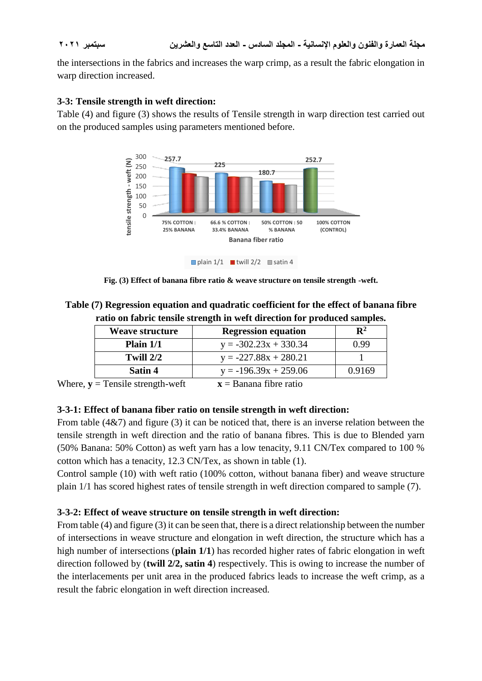the intersections in the fabrics and increases the warp crimp, as a result the fabric elongation in warp direction increased.

### **3-3: Tensile strength in weft direction:**

Table (4) and figure (3) shows the results of Tensile strength in warp direction test carried out on the produced samples using parameters mentioned before.



**Fig. (3) Effect of banana fibre ratio & weave structure on tensile strength -weft.**

**Table (7) Regression equation and quadratic coefficient for the effect of banana fibre ratio on fabric tensile strength in weft direction for produced samples.**

| <b>Weave structure</b> | <b>Regression equation</b> | $\mathbb{R}^2$ |
|------------------------|----------------------------|----------------|
| Plain $1/1$            | $y = -302.23x + 330.34$    | 0.99           |
| Twill $2/2$            | $y = -227.88x + 280.21$    |                |
| Satin 4                | $y = -196.39x + 259.06$    | 0.9169         |
|                        |                            |                |

Where,  $\mathbf{v} =$  Tensile strength-weft  $\mathbf{x} =$  Banana fibre ratio

### **3-3-1: Effect of banana fiber ratio on tensile strength in weft direction:**

From table (4&7) and figure (3) it can be noticed that, there is an inverse relation between the tensile strength in weft direction and the ratio of banana fibres. This is due to Blended yarn (50% Banana: 50% Cotton) as weft yarn has a low tenacity, 9.11 CN/Tex compared to 100 % cotton which has a tenacity, 12.3 CN/Tex, as shown in table (1).

Control sample (10) with weft ratio (100% cotton, without banana fiber) and weave structure plain 1/1 has scored highest rates of tensile strength in weft direction compared to sample (7).

### **3-3-2: Effect of weave structure on tensile strength in weft direction:**

From table (4) and figure (3) it can be seen that, there is a direct relationship between the number of intersections in weave structure and elongation in weft direction, the structure which has a high number of intersections (**plain 1/1**) has recorded higher rates of fabric elongation in weft direction followed by (**twill 2/2, satin 4**) respectively. This is owing to increase the number of the interlacements per unit area in the produced fabrics leads to increase the weft crimp, as a result the fabric elongation in weft direction increased.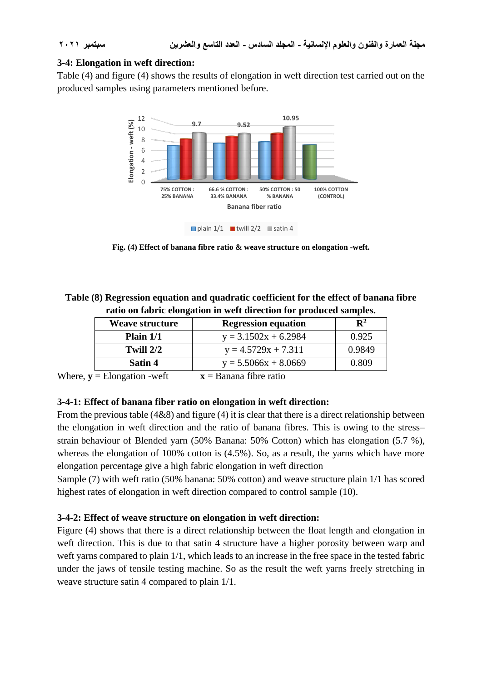### **3-4: Elongation in weft direction:**

Table (4) and figure (4) shows the results of elongation in weft direction test carried out on the produced samples using parameters mentioned before.



**Fig. (4) Effect of banana fibre ratio & weave structure on elongation -weft.**

**Table (8) Regression equation and quadratic coefficient for the effect of banana fibre ratio on fabric elongation in weft direction for produced samples.**

| <b>Weave structure</b> | <b>Regression equation</b> | $\mathbf{R}^2$ |
|------------------------|----------------------------|----------------|
| Plain $1/1$            | $y = 3.1502x + 6.2984$     | 0.925          |
| Twill $2/2$            | $y = 4.5729x + 7.311$      | 0.9849         |
| Satin 4                | $y = 5.5066x + 8.0669$     | 0.809          |
| $-1$                   | $\sim$ $\sim$              |                |

Where,  $\mathbf{v} =$  Elongation -weft  $\mathbf{x} =$  Banana fibre ratio

### **3-4-1: Effect of banana fiber ratio on elongation in weft direction:**

From the previous table (4&8) and figure (4) it is clear that there is a direct relationship between the elongation in weft direction and the ratio of banana fibres. This is owing to the stress– strain behaviour of Blended yarn (50% Banana: 50% Cotton) which has elongation (5.7 %), whereas the elongation of 100% cotton is  $(4.5\%)$ . So, as a result, the yarns which have more elongation percentage give a high fabric elongation in weft direction

Sample (7) with weft ratio (50% banana: 50% cotton) and weave structure plain 1/1 has scored highest rates of elongation in weft direction compared to control sample (10).

### **3-4-2: Effect of weave structure on elongation in weft direction:**

Figure (4) shows that there is a direct relationship between the float length and elongation in weft direction. This is due to that satin 4 structure have a higher porosity between warp and weft yarns compared to plain 1/1, which leads to an increase in the free space in the tested fabric under the jaws of tensile testing machine. So as the result the weft yarns freely stretching in weave structure satin 4 compared to plain 1/1.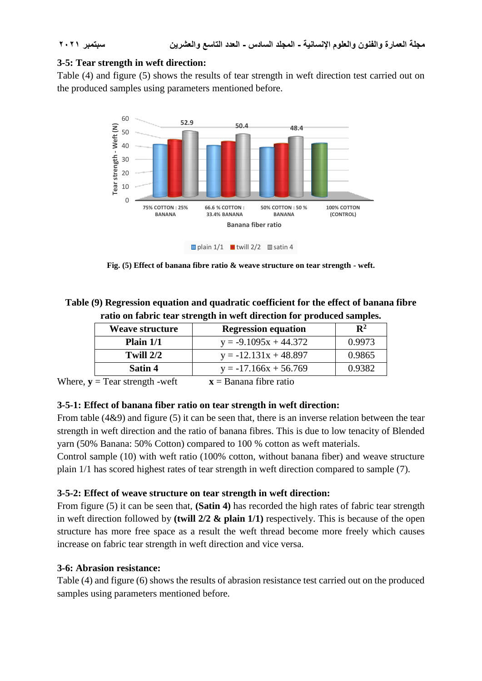### **3-5: Tear strength in weft direction:**

Table (4) and figure (5) shows the results of tear strength in weft direction test carried out on the produced samples using parameters mentioned before.



**Fig. (5) Effect of banana fibre ratio & weave structure on tear strength - weft.**

### **Table (9) Regression equation and quadratic coefficient for the effect of banana fibre ratio on fabric tear strength in weft direction for produced samples.**

| <b>Weave structure</b> | <b>Regression equation</b> | $\mathbf{R}^2$ |
|------------------------|----------------------------|----------------|
| Plain $1/1$            | $y = -9.1095x + 44.372$    | 0.9973         |
| Twill $2/2$            | $y = -12.131x + 48.897$    | 0.9865         |
| Satin 4                | $y = -17.166x + 56.769$    | 0.9382         |
|                        |                            |                |

Where,  $y = \text{Team strength -weft}$   $x = \text{Banana fibre ratio}$ 

### **3-5-1: Effect of banana fiber ratio on tear strength in weft direction:**

From table (4&9) and figure (5) it can be seen that, there is an inverse relation between the tear strength in weft direction and the ratio of banana fibres. This is due to low tenacity of Blended yarn (50% Banana: 50% Cotton) compared to 100 % cotton as weft materials.

Control sample (10) with weft ratio (100% cotton, without banana fiber) and weave structure plain 1/1 has scored highest rates of tear strength in weft direction compared to sample (7).

### **3-5-2: Effect of weave structure on tear strength in weft direction:**

From figure (5) it can be seen that, **(Satin 4)** has recorded the high rates of fabric tear strength in weft direction followed by **(twill 2/2 & plain 1/1)** respectively. This is because of the open structure has more free space as a result the weft thread become more freely which causes increase on fabric tear strength in weft direction and vice versa.

### **3-6: Abrasion resistance:**

Table (4) and figure (6) shows the results of abrasion resistance test carried out on the produced samples using parameters mentioned before.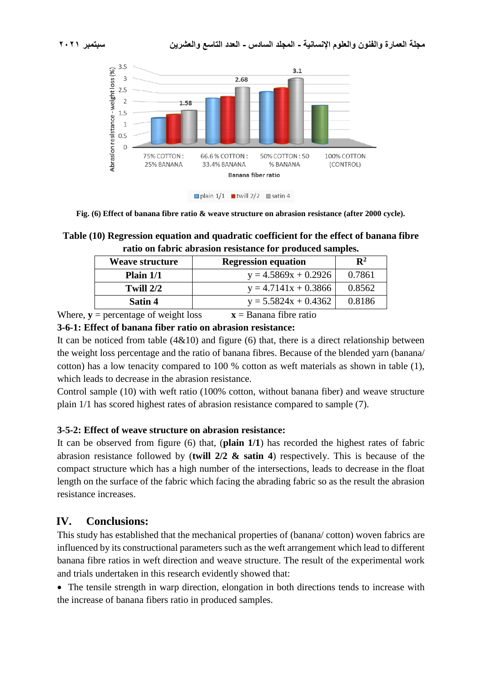

**Fig. (6) Effect of banana fibre ratio & weave structure on abrasion resistance (after 2000 cycle).**

### **Table (10) Regression equation and quadratic coefficient for the effect of banana fibre ratio on fabric abrasion resistance for produced samples.**

| Weave structure              | <b>Regression equation</b> | $\mathbf{R}^2$ |
|------------------------------|----------------------------|----------------|
| Plain $1/1$                  | $y = 4.5869x + 0.2926$     | 0.7861         |
| Twill $2/2$                  | $y = 4.7141x + 0.3866$     | 0.8562         |
| Satin 4                      | $y = 5.5824x + 0.4362$     | 0.8186         |
| respondence of resident loss | -- Danana Chus natio       |                |

Where,  $\mathbf{v}$  = percentage of weight loss  $\mathbf{x}$  = Banana fibre ratio

### **3-6-1: Effect of banana fiber ratio on abrasion resistance:**

It can be noticed from table  $(4&10)$  and figure (6) that, there is a direct relationship between the weight loss percentage and the ratio of banana fibres. Because of the blended yarn (banana/ cotton) has a low tenacity compared to 100 % cotton as weft materials as shown in table (1), which leads to decrease in the abrasion resistance.

Control sample (10) with weft ratio (100% cotton, without banana fiber) and weave structure plain 1/1 has scored highest rates of abrasion resistance compared to sample (7).

### **3-5-2: Effect of weave structure on abrasion resistance:**

It can be observed from figure (6) that, (**plain 1/1**) has recorded the highest rates of fabric abrasion resistance followed by (**twill 2/2 & satin 4**) respectively. This is because of the compact structure which has a high number of the intersections, leads to decrease in the float length on the surface of the fabric which facing the abrading fabric so as the result the abrasion resistance increases.

# **IV. Conclusions:**

This study has established that the mechanical properties of (banana/ cotton) woven fabrics are influenced by its constructional parameters such as the weft arrangement which lead to different banana fibre ratios in weft direction and weave structure. The result of the experimental work and trials undertaken in this research evidently showed that:

• The tensile strength in warp direction, elongation in both directions tends to increase with the increase of banana fibers ratio in produced samples.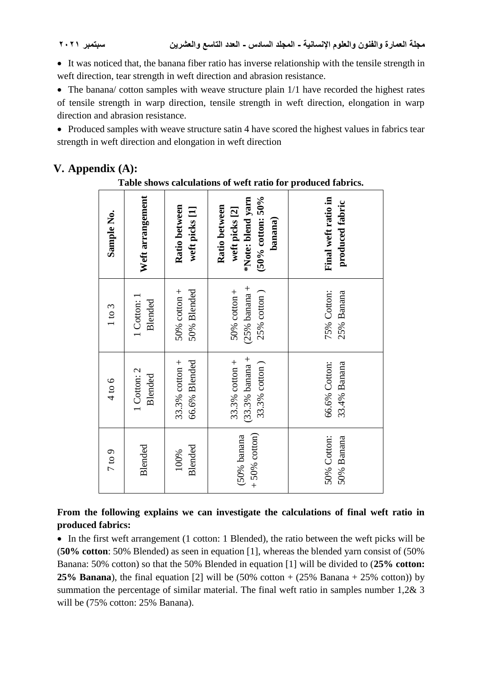It was noticed that, the banana fiber ratio has inverse relationship with the tensile strength in weft direction, tear strength in weft direction and abrasion resistance.

• The banana/ cotton samples with weave structure plain  $1/1$  have recorded the highest rates of tensile strength in warp direction, tensile strength in weft direction, elongation in warp direction and abrasion resistance.

• Produced samples with weave structure satin 4 have scored the highest values in fabrics tear strength in weft direction and elongation in weft direction

# **V. Appendix (A):**

### **Table shows calculations of weft ratio for produced fabrics.**

| Sample No. | Weft arrangement              | Ratio between<br>weft picks [1]    | $(50\% \text{ cotton: } 50\%$<br>*Note: blend yarn<br>Ratio between<br>weft picks [2]<br>banana) | Final weft ratio in<br>produced fabric |
|------------|-------------------------------|------------------------------------|--------------------------------------------------------------------------------------------------|----------------------------------------|
| 1 to 3     | 1 Cotton: 1<br><b>Blended</b> | 50% Blended<br>$50\%$ cotton +     | $(25% \t{bannan } +$<br>$50\%$ cotton +<br>$25%$ cotton)                                         | 75% Cotton:<br>25% Banana              |
| 4 to 6     | 1 Cotton: 2<br><b>Blended</b> | 66.6% Blended<br>$33.3\%$ cotton + | $(33.3%$ banana +<br>33.3% $cotton +$<br>33.3% cotton)                                           | 66.6% Cotton:<br>33.4% Banana          |
| 7 to 9     | Blended                       | <b>Blended</b><br>100%             | $+50\%$ cotton)<br>$(50\%$ banana                                                                | 50% Cotton:<br>50% Banana              |

# **From the following explains we can investigate the calculations of final weft ratio in produced fabrics:**

• In the first weft arrangement (1 cotton: 1 Blended), the ratio between the weft picks will be (**50% cotton**: 50% Blended) as seen in equation [1], whereas the blended yarn consist of (50% Banana: 50% cotton) so that the 50% Blended in equation [1] will be divided to (**25% cotton: 25% Banana**), the final equation [2] will be  $(50\% \text{ cotton} + (25\% \text{ Banana} + 25\% \text{ cotton}))$  by summation the percentage of similar material. The final weft ratio in samples number 1,2& 3 will be (75% cotton: 25% Banana).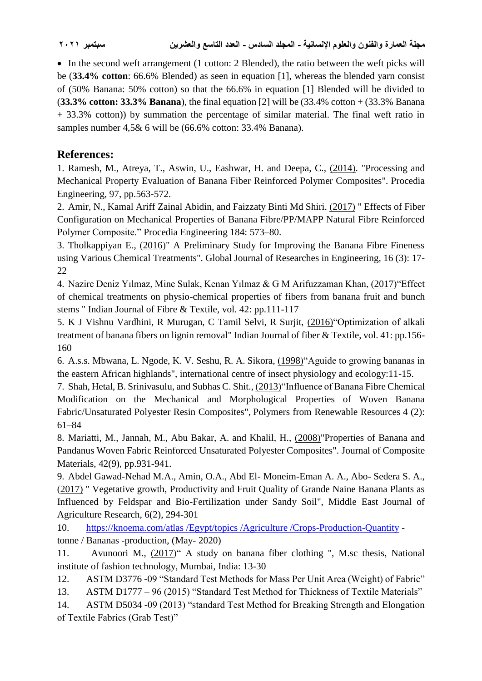• In the second weft arrangement (1 cotton: 2 Blended), the ratio between the weft picks will be (**33.4% cotton**: 66.6% Blended) as seen in equation [1], whereas the blended yarn consist of (50% Banana: 50% cotton) so that the 66.6% in equation [1] Blended will be divided to (**33.3% cotton: 33.3% Banana**), the final equation [2] will be (33.4% cotton + (33.3% Banana + 33.3% cotton)) by summation the percentage of similar material. The final weft ratio in samples number 4,5& 6 will be (66.6% cotton: 33.4% Banana).

# **References:**

1. Ramesh, M., Atreya, T., Aswin, U., Eashwar, H. and Deepa, C., (2014). "Processing and Mechanical Property Evaluation of Banana Fiber Reinforced Polymer Composites". Procedia Engineering, 97, pp.563-572.

2. Amir, N., Kamal Ariff Zainal Abidin, and Faizzaty Binti Md Shiri. (2017) " Effects of Fiber Configuration on Mechanical Properties of Banana Fibre/PP/MAPP Natural Fibre Reinforced Polymer Composite." Procedia Engineering 184: 573–80.

3. Tholkappiyan E.,  $(2016)$ " A Preliminary Study for Improving the Banana Fibre Fineness using Various Chemical Treatments". Global Journal of Researches in Engineering, 16 (3): 17- 22

4. Nazire Deniz Yılmaz, Mine Sulak, Kenan Yılmaz & G M Arifuzzaman Khan, (2017) "Effect of chemical treatments on physio-chemical properties of fibers from banana fruit and bunch stems " Indian Journal of Fibre & Textile, vol. 42: pp.111-117

5. K J Vishnu Vardhini, R Murugan, C Tamil Selvi, R Surjit, (2016) "Optimization of alkali treatment of banana fibers on lignin removal" Indian Journal of fiber & Textile, vol. 41: pp.156- 160

6. A.s.s. Mbwana, L. Ngode, K. V. Seshu, R. A. Sikora, (1998) Aguide to growing bananas in the eastern African highlands", international centre of insect physiology and ecology:11-15.

7. Shah, Hetal, B. Srinivasulu, and Subhas C. Shit., (2013) Tim Tuence of Banana Fibre Chemical Modification on the Mechanical and Morphological Properties of Woven Banana Fabric/Unsaturated Polyester Resin Composites", Polymers from Renewable Resources 4 (2): 61–84

8. Mariatti, M., Jannah, M., Abu Bakar, A. and Khalil, H., (2008) "Properties of Banana and Pandanus Woven Fabric Reinforced Unsaturated Polyester Composites". Journal of Composite Materials, 42(9), pp.931-941.

9. Abdel Gawad-Nehad M.A., Amin, O.A., Abd El- Moneim-Eman A. A., Abo- Sedera S. A., (2017) " Vegetative growth, Productivity and Fruit Quality of Grande Naine Banana Plants as Influenced by Feldspar and Bio-Fertilization under Sandy Soil", Middle East Journal of Agriculture Research, 6(2), 294-301

10. [https://knoema.com/atlas /Egypt/topics /Agriculture /Crops-Production-Quantity](https://knoema.com/atlas%20/Egypt/topics%20/Agriculture%20/Crops-Production-Quantity) tonne / Bananas -production, (May- 2020)

11. Avunoori M., (2017)" A study on banana fiber clothing ", M.sc thesis, National institute of fashion technology, Mumbai, India: 13-30

12. ASTM D3776 -09 "Standard Test Methods for Mass Per Unit Area (Weight) of Fabric"

13. ASTM D1777 – 96 (2015) "Standard Test Method for Thickness of Textile Materials"

14. ASTM D5034 -09 (2013) "standard Test Method for Breaking Strength and Elongation of Textile Fabrics (Grab Test)"